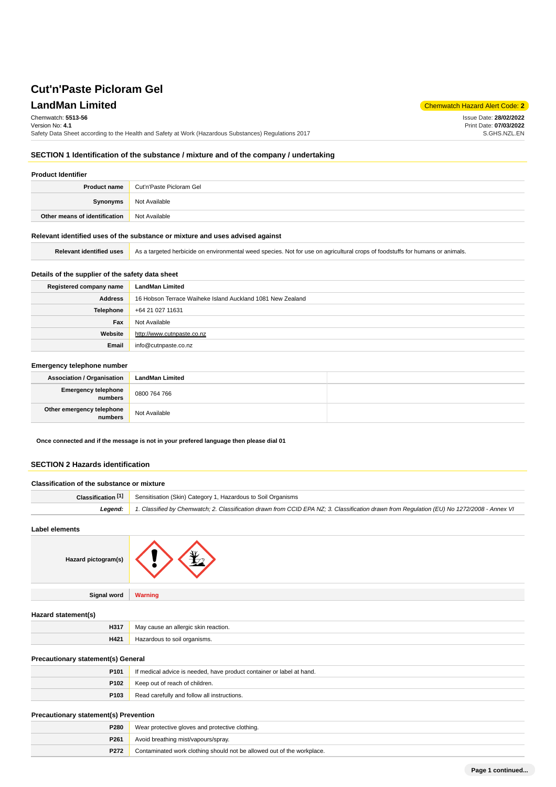# **LandMan Limited** Chemwatch Hazard Alert Code: 2

Issue Date: **28/02/2022** Print Date: **07/03/2022** S.GHS.NZL.EN

Chemwatch: **5513-56**

Version No: **4.1**

Safety Data Sheet according to the Health and Safety at Work (Hazardous Substances) Regulations 2017

# **SECTION 1 Identification of the substance / mixture and of the company / undertaking**

### **Product Identifier**

| <b>Product name</b>           | Cut'n'Paste Picloram Gel |
|-------------------------------|--------------------------|
| Synonyms                      | Not Available            |
| Other means of identification | Not Available            |

### **Relevant identified uses of the substance or mixture and uses advised against**

Relevant identified uses <br>As a targeted herbicide on environmental weed species. Not for use on agricultural crops of foodstuffs for humans or animals.

## **Details of the supplier of the safety data sheet**

| Registered company name | <b>LandMan Limited</b>                                     |
|-------------------------|------------------------------------------------------------|
| <b>Address</b>          | 16 Hobson Terrace Waiheke Island Auckland 1081 New Zealand |
| <b>Telephone</b>        | +64 21 027 11631                                           |
| Fax                     | Not Available                                              |
| Website                 | http://www.cutnpaste.co.nz                                 |
| Email                   | info@cutnpaste.co.nz                                       |

### **Emergency telephone number**

| <b>Association / Organisation</b>    | <b>LandMan Limited</b> |  |
|--------------------------------------|------------------------|--|
| Emergency telephone<br>numbers       | 0800 764 766           |  |
| Other emergency telephone<br>numbers | Not Available          |  |

**Once connected and if the message is not in your prefered language then please dial 01**

# **SECTION 2 Hazards identification**

| Classification of the substance or mixture |                                                                                                                                            |
|--------------------------------------------|--------------------------------------------------------------------------------------------------------------------------------------------|
| Classification [1]                         | Sensitisation (Skin) Category 1, Hazardous to Soil Organisms                                                                               |
| Leaend:                                    | 1. Classified by Chemwatch; 2. Classification drawn from CCID EPA NZ; 3. Classification drawn from Requlation (EU) No 1272/2008 - Annex VI |

#### **Label elements**

| Hazard pictogram(s) |  |
|---------------------|--|
|---------------------|--|

**Signal word Warning**

### **Hazard statement(s)**

| H317 | $.$ roo $\sim$<br>reaction.<br>$\sim$<br>Ma'<br>- -<br>__ |
|------|-----------------------------------------------------------|
| H421 | organisms.<br>.                                           |

# **Precautionary statement(s) General**

| P <sub>101</sub> | If medical advice is needed, have product container or label at hand. |
|------------------|-----------------------------------------------------------------------|
| P102             | Keep out of reach of children.                                        |
| P103             | Read carefully and follow all instructions.                           |

### **Precautionary statement(s) Prevention**

| <b>P280</b>      | Wear protective gloves and protective clothing.                        |  |
|------------------|------------------------------------------------------------------------|--|
| P <sub>261</sub> | Avoid breathing mist/vapours/spray.                                    |  |
| <b>P272</b>      | Contaminated work clothing should not be allowed out of the workplace. |  |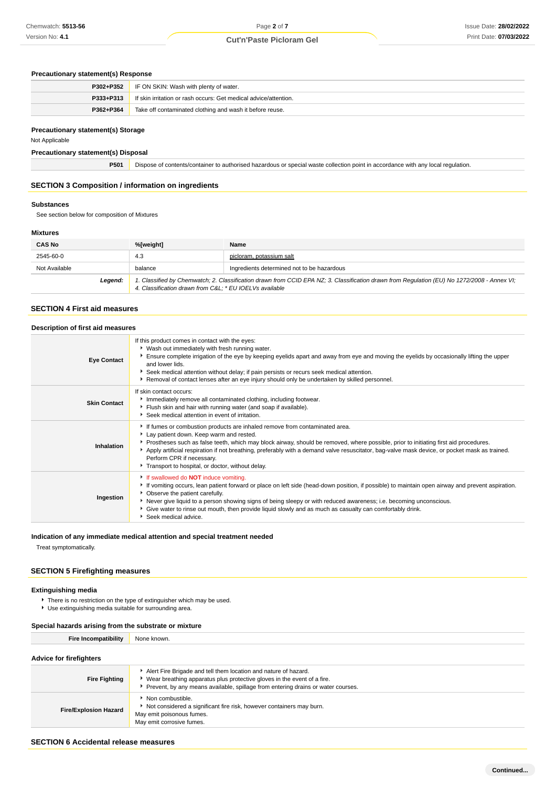# Page **2** of **7 Cut'n'Paste Picloram Gel**

# **Precautionary statement(s) Response**

|           | <b>P302+P352</b> IF ON SKIN: Wash with plenty of water.          |
|-----------|------------------------------------------------------------------|
| P333+P313 | If skin irritation or rash occurs: Get medical advice/attention. |
| P362+P364 | Take off contaminated clothing and wash it before reuse.         |

### **Precautionary statement(s) Storage**

Not Applicable

**Precautionary statement(s) Disposal**

**P501** Dispose of contents/container to authorised hazardous or special waste collection point in accordance with any local regulation.

# **SECTION 3 Composition / information on ingredients**

### **Substances**

See section below for composition of Mixtures

### **Mixtures**

| <b>CAS No</b> | %[weight]                                                                                                                                                                                              | Name                                       |
|---------------|--------------------------------------------------------------------------------------------------------------------------------------------------------------------------------------------------------|--------------------------------------------|
| 2545-60-0     | 4.3                                                                                                                                                                                                    | picloram, potassium salt                   |
| Not Available | balance                                                                                                                                                                                                | Ingredients determined not to be hazardous |
| Legend:       | 1. Classified by Chemwatch; 2. Classification drawn from CCID EPA NZ; 3. Classification drawn from Regulation (EU) No 1272/2008 - Annex VI;<br>4. Classification drawn from C&L: * EU IOELVs available |                                            |

### **SECTION 4 First aid measures**

| Description of first aid measures |                                                                                                                                                                                                                                                                                                                                                                                                                                                                                                   |
|-----------------------------------|---------------------------------------------------------------------------------------------------------------------------------------------------------------------------------------------------------------------------------------------------------------------------------------------------------------------------------------------------------------------------------------------------------------------------------------------------------------------------------------------------|
| <b>Eye Contact</b>                | If this product comes in contact with the eyes:<br>▶ Wash out immediately with fresh running water.<br>Ensure complete irrigation of the eye by keeping eyelids apart and away from eye and moving the eyelids by occasionally lifting the upper<br>and lower lids.<br>Seek medical attention without delay; if pain persists or recurs seek medical attention.<br>Removal of contact lenses after an eye injury should only be undertaken by skilled personnel.                                  |
| <b>Skin Contact</b>               | If skin contact occurs:<br>Immediately remove all contaminated clothing, including footwear.<br>Flush skin and hair with running water (and soap if available).<br>Seek medical attention in event of irritation.                                                                                                                                                                                                                                                                                 |
| Inhalation                        | If fumes or combustion products are inhaled remove from contaminated area.<br>Lay patient down. Keep warm and rested.<br>▶ Prostheses such as false teeth, which may block airway, should be removed, where possible, prior to initiating first aid procedures.<br>Apply artificial respiration if not breathing, preferably with a demand valve resuscitator, bag-valve mask device, or pocket mask as trained.<br>Perform CPR if necessary.<br>Transport to hospital, or doctor, without delay. |
| Ingestion                         | If swallowed do <b>NOT</b> induce vomiting.<br>► If vomiting occurs, lean patient forward or place on left side (head-down position, if possible) to maintain open airway and prevent aspiration.<br>• Observe the patient carefully.<br>▶ Never give liquid to a person showing signs of being sleepy or with reduced awareness; i.e. becoming unconscious.<br>Give water to rinse out mouth, then provide liquid slowly and as much as casualty can comfortably drink.<br>Seek medical advice.  |

# **Indication of any immediate medical attention and special treatment needed**

Treat symptomatically.

# **SECTION 5 Firefighting measures**

# **Extinguishing media**

**F** There is no restriction on the type of extinguisher which may be used.

Use extinguishing media suitable for surrounding area.

### **Special hazards arising from the substrate or mixture**

| <b>Fire Incompatibility</b>                  | None known.                                                                                                                                                                      |  |
|----------------------------------------------|----------------------------------------------------------------------------------------------------------------------------------------------------------------------------------|--|
| Advice for firefighters                      |                                                                                                                                                                                  |  |
|                                              |                                                                                                                                                                                  |  |
| the company of the company of the company of | Alert Fire Brigade and tell them location and nature of hazard.<br><b>K AAL</b> contracted the contracted of the contracted of the contracted of the contracted $\boldsymbol{P}$ |  |

| <b>Fire Fighting</b>         | Wear breathing apparatus plus protective gloves in the event of a fire.                                                                            |  |  |
|------------------------------|----------------------------------------------------------------------------------------------------------------------------------------------------|--|--|
|                              | Prevent, by any means available, spillage from entering drains or water courses.                                                                   |  |  |
| <b>Fire/Explosion Hazard</b> | Non combustible.<br>Not considered a significant fire risk, however containers may burn.<br>May emit poisonous fumes.<br>May emit corrosive fumes. |  |  |

### **SECTION 6 Accidental release measures**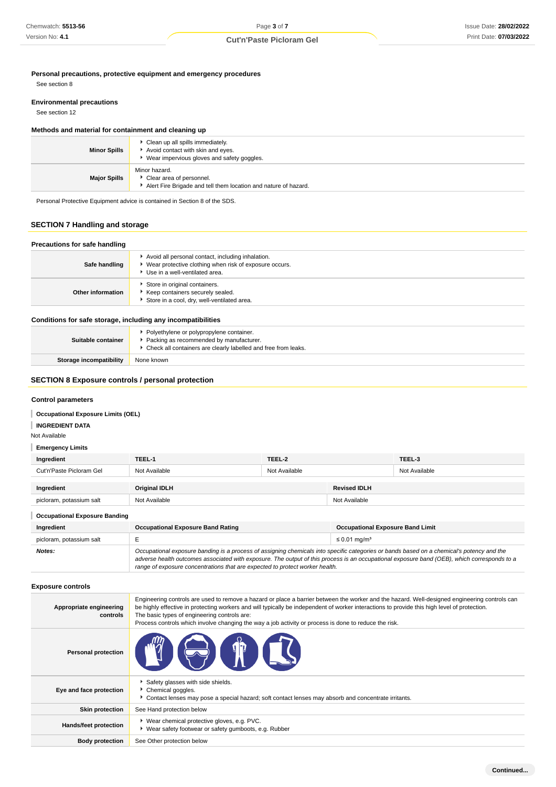**Personal precautions, protective equipment and emergency procedures**

See section 8

### **Environmental precautions**

See section 12

### **Methods and material for containment and cleaning up**

| <b>Minor Spills</b> | Clean up all spills immediately.<br>Avoid contact with skin and eyes.<br>▶ Wear impervious gloves and safety goggles. |
|---------------------|-----------------------------------------------------------------------------------------------------------------------|
| <b>Major Spills</b> | Minor hazard.<br>Clear area of personnel.<br>Alert Fire Brigade and tell them location and nature of hazard.          |

Personal Protective Equipment advice is contained in Section 8 of the SDS.

## **SECTION 7 Handling and storage**

#### **Precautions for safe handling Safe handling** Avoid all personal contact, including inhalation. Wear protective clothing when risk of exposure occurs. Use in a well-ventilated area. **Other information** Store in original containers. Keep containers securely sealed. Store in a cool, dry, well-ventilated area.

### **Conditions for safe storage, including any incompatibilities**

| Suitable container      | * Polyethylene or polypropylene container.<br>Packing as recommended by manufacturer.<br>Check all containers are clearly labelled and free from leaks. |
|-------------------------|---------------------------------------------------------------------------------------------------------------------------------------------------------|
| Storage incompatibility | None known                                                                                                                                              |

### **SECTION 8 Exposure controls / personal protection**

### **Control parameters**

# **Occupational Exposure Limits (OEL)**

#### **INGREDIENT DATA** I

Not Available

### **Emergency Limits**

| Ingredient                           | TEEL-1                                   | TEEL-2        |                                         | TEEL-3        |
|--------------------------------------|------------------------------------------|---------------|-----------------------------------------|---------------|
| Cut'n'Paste Picloram Gel             | Not Available                            | Not Available |                                         | Not Available |
|                                      |                                          |               |                                         |               |
| Ingredient                           | <b>Original IDLH</b>                     |               | <b>Revised IDLH</b>                     |               |
| picloram, potassium salt             | Not Available                            |               | Not Available                           |               |
| <b>Occupational Exposure Banding</b> |                                          |               |                                         |               |
| Ingredient                           | <b>Occupational Exposure Band Rating</b> |               | <b>Occupational Exposure Band Limit</b> |               |

| <b>Inarealent</b>        | Occupational Exposure Band Rating                                                                                                                                                                                                                                                                                                                                        | Occupational Exposure Band Limit |
|--------------------------|--------------------------------------------------------------------------------------------------------------------------------------------------------------------------------------------------------------------------------------------------------------------------------------------------------------------------------------------------------------------------|----------------------------------|
| picloram, potassium salt |                                                                                                                                                                                                                                                                                                                                                                          | $\leq$ 0.01 mg/m <sup>3</sup>    |
| Notes:                   | Occupational exposure banding is a process of assigning chemicals into specific categories or bands based on a chemical's potency and the<br>adverse health outcomes associated with exposure. The output of this process is an occupational exposure band (OEB), which corresponds to a<br>range of exposure concentrations that are expected to protect worker health. |                                  |

### **Exposure controls**

| Appropriate engineering<br>controls | Engineering controls are used to remove a hazard or place a barrier between the worker and the hazard. Well-designed engineering controls can<br>be highly effective in protecting workers and will typically be independent of worker interactions to provide this high level of protection.<br>The basic types of engineering controls are:<br>Process controls which involve changing the way a job activity or process is done to reduce the risk. |  |
|-------------------------------------|--------------------------------------------------------------------------------------------------------------------------------------------------------------------------------------------------------------------------------------------------------------------------------------------------------------------------------------------------------------------------------------------------------------------------------------------------------|--|
| <b>Personal protection</b>          | <b>THE STATE</b>                                                                                                                                                                                                                                                                                                                                                                                                                                       |  |
| Eye and face protection             | Safety glasses with side shields.<br>Chemical goggles.<br>Contact lenses may pose a special hazard; soft contact lenses may absorb and concentrate irritants.                                                                                                                                                                                                                                                                                          |  |
| <b>Skin protection</b>              | See Hand protection below                                                                                                                                                                                                                                                                                                                                                                                                                              |  |
| Hands/feet protection               | ▶ Wear chemical protective gloves, e.g. PVC.<br>• Wear safety footwear or safety gumboots, e.g. Rubber                                                                                                                                                                                                                                                                                                                                                 |  |
| <b>Body protection</b>              | See Other protection below                                                                                                                                                                                                                                                                                                                                                                                                                             |  |

**Continued...**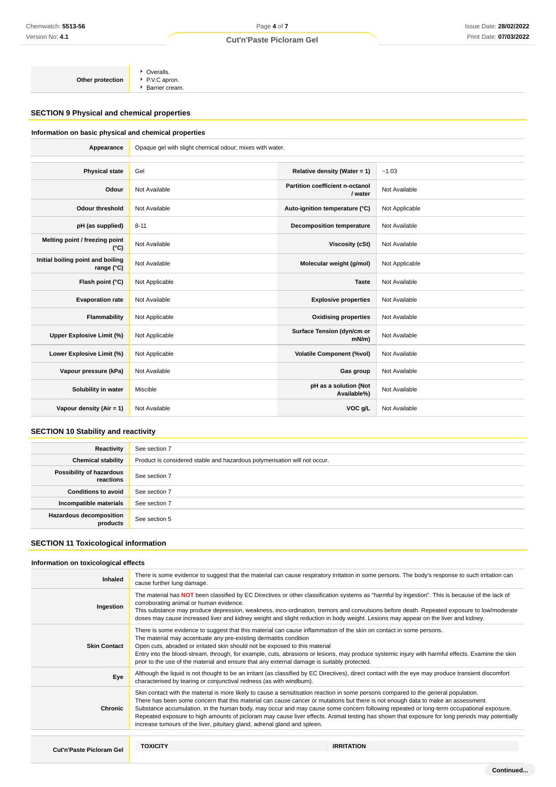# Page **4** of **7**

# **Cut'n'Paste Picloram Gel**

**Other protection** Overalls. ● P.V.C apron.

**Barrier cream.** 

# **SECTION 9 Physical and chemical properties**

# **Information on basic physical and chemical properties**

| Appearance                                        | Opaque gel with slight chemical odour; mixes with water. |                                            |                |
|---------------------------------------------------|----------------------------------------------------------|--------------------------------------------|----------------|
|                                                   |                                                          |                                            |                |
| <b>Physical state</b>                             | Gel                                                      | Relative density (Water = 1)               | $-1.03$        |
| Odour                                             | Not Available                                            | Partition coefficient n-octanol<br>/ water | Not Available  |
| <b>Odour threshold</b>                            | Not Available                                            | Auto-ignition temperature (°C)             | Not Applicable |
| pH (as supplied)                                  | $8 - 11$                                                 | <b>Decomposition temperature</b>           | Not Available  |
| Melting point / freezing point<br>$(^{\circ}C)$   | Not Available                                            | <b>Viscosity (cSt)</b>                     | Not Available  |
| Initial boiling point and boiling<br>range $(°C)$ | Not Available                                            | Molecular weight (g/mol)                   | Not Applicable |
| Flash point (°C)                                  | Not Applicable                                           | <b>Taste</b>                               | Not Available  |
| <b>Evaporation rate</b>                           | Not Available                                            | <b>Explosive properties</b>                | Not Available  |
| Flammability                                      | Not Applicable                                           | <b>Oxidising properties</b>                | Not Available  |
| Upper Explosive Limit (%)                         | Not Applicable                                           | Surface Tension (dyn/cm or<br>$mN/m$ )     | Not Available  |
| Lower Explosive Limit (%)                         | Not Applicable                                           | <b>Volatile Component (%vol)</b>           | Not Available  |
| Vapour pressure (kPa)                             | Not Available                                            | Gas group                                  | Not Available  |
| Solubility in water                               | Miscible                                                 | pH as a solution (Not<br>Available%)       | Not Available  |
| Vapour density (Air = 1)                          | Not Available                                            | VOC g/L                                    | Not Available  |

# **SECTION 10 Stability and reactivity**

| Reactivity                            | See section 7                                                             |
|---------------------------------------|---------------------------------------------------------------------------|
| <b>Chemical stability</b>             | Product is considered stable and hazardous polymerisation will not occur. |
| Possibility of hazardous<br>reactions | See section 7                                                             |
| <b>Conditions to avoid</b>            | See section 7                                                             |
| Incompatible materials                | See section 7                                                             |
| Hazardous decomposition<br>products   | See section 5                                                             |

## **SECTION 11 Toxicological information**

### **Information on toxicological effects**

| Inhaled                  | There is some evidence to suggest that the material can cause respiratory irritation in some persons. The body's response to such irritation can<br>cause further lung damage.                                                                                                                                                                                                                                                                                                                                                                                                                                                                   |                   |  |
|--------------------------|--------------------------------------------------------------------------------------------------------------------------------------------------------------------------------------------------------------------------------------------------------------------------------------------------------------------------------------------------------------------------------------------------------------------------------------------------------------------------------------------------------------------------------------------------------------------------------------------------------------------------------------------------|-------------------|--|
| Ingestion                | The material has NOT been classified by EC Directives or other classification systems as "harmful by ingestion". This is because of the lack of<br>corroborating animal or human evidence.<br>This substance may produce depression, weakness, inco-ordination, tremors and convulsions before death. Repeated exposure to low/moderate<br>doses may cause increased liver and kidney weight and slight reduction in body weight. Lesions may appear on the liver and kidney.                                                                                                                                                                    |                   |  |
| <b>Skin Contact</b>      | There is some evidence to suggest that this material can cause inflammation of the skin on contact in some persons.<br>The material may accentuate any pre-existing dermatitis condition<br>Open cuts, abraded or irritated skin should not be exposed to this material<br>Entry into the blood-stream, through, for example, cuts, abrasions or lesions, may produce systemic injury with harmful effects. Examine the skin<br>prior to the use of the material and ensure that any external damage is suitably protected.                                                                                                                      |                   |  |
| Eye                      | Although the liquid is not thought to be an irritant (as classified by EC Directives), direct contact with the eye may produce transient discomfort<br>characterised by tearing or conjunctival redness (as with windburn).                                                                                                                                                                                                                                                                                                                                                                                                                      |                   |  |
| <b>Chronic</b>           | Skin contact with the material is more likely to cause a sensitisation reaction in some persons compared to the general population.<br>There has been some concern that this material can cause cancer or mutations but there is not enough data to make an assessment.<br>Substance accumulation, in the human body, may occur and may cause some concern following repeated or long-term occupational exposure.<br>Repeated exposure to high amounts of picloram may cause liver effects. Animal testing has shown that exposure for long periods may potentially<br>increase tumours of the liver, pituitary gland, adrenal gland and spleen. |                   |  |
|                          |                                                                                                                                                                                                                                                                                                                                                                                                                                                                                                                                                                                                                                                  |                   |  |
| Cut'n'Paste Picloram Gel | <b>TOXICITY</b>                                                                                                                                                                                                                                                                                                                                                                                                                                                                                                                                                                                                                                  | <b>IRRITATION</b> |  |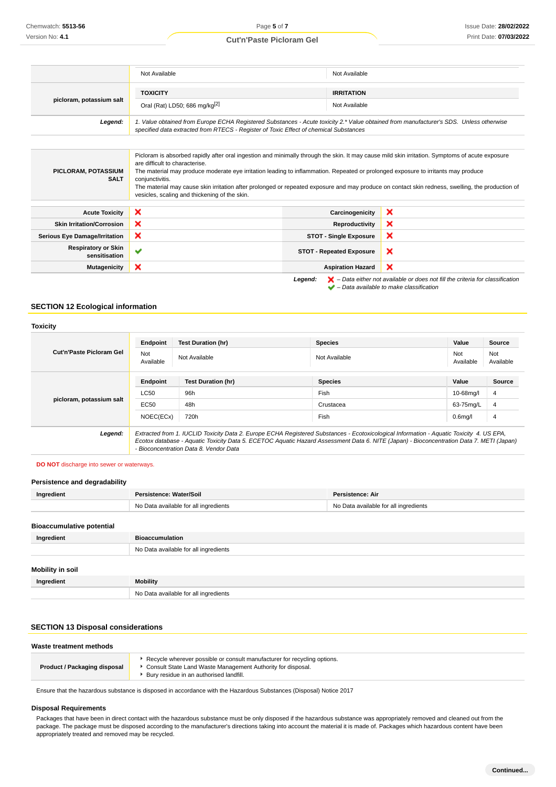|                                             | Not Available                                                                                                                                                                                                                                                                                                                                                                                                                                                                                                                                  | Not Available                   |                                                                                                                                                                     |
|---------------------------------------------|------------------------------------------------------------------------------------------------------------------------------------------------------------------------------------------------------------------------------------------------------------------------------------------------------------------------------------------------------------------------------------------------------------------------------------------------------------------------------------------------------------------------------------------------|---------------------------------|---------------------------------------------------------------------------------------------------------------------------------------------------------------------|
|                                             | <b>TOXICITY</b><br><b>IRRITATION</b>                                                                                                                                                                                                                                                                                                                                                                                                                                                                                                           |                                 |                                                                                                                                                                     |
| picloram, potassium salt                    | Oral (Rat) LD50; 686 mg/kg <sup>[2]</sup>                                                                                                                                                                                                                                                                                                                                                                                                                                                                                                      | Not Available                   |                                                                                                                                                                     |
| Legend:                                     | 1. Value obtained from Europe ECHA Registered Substances - Acute toxicity 2.* Value obtained from manufacturer's SDS. Unless otherwise<br>specified data extracted from RTECS - Register of Toxic Effect of chemical Substances                                                                                                                                                                                                                                                                                                                |                                 |                                                                                                                                                                     |
|                                             |                                                                                                                                                                                                                                                                                                                                                                                                                                                                                                                                                |                                 |                                                                                                                                                                     |
| PICLORAM, POTASSIUM<br><b>SALT</b>          | Picloram is absorbed rapidly after oral ingestion and minimally through the skin. It may cause mild skin irritation. Symptoms of acute exposure<br>are difficult to characterise.<br>The material may produce moderate eye irritation leading to inflammation. Repeated or prolonged exposure to irritants may produce<br>conjunctivitis.<br>The material may cause skin irritation after prolonged or repeated exposure and may produce on contact skin redness, swelling, the production of<br>vesicles, scaling and thickening of the skin. |                                 |                                                                                                                                                                     |
| <b>Acute Toxicity</b>                       | ×                                                                                                                                                                                                                                                                                                                                                                                                                                                                                                                                              | Carcinogenicity                 | ×                                                                                                                                                                   |
| <b>Skin Irritation/Corrosion</b>            | ×                                                                                                                                                                                                                                                                                                                                                                                                                                                                                                                                              | Reproductivity                  | ×                                                                                                                                                                   |
| <b>Serious Eye Damage/Irritation</b>        | ×                                                                                                                                                                                                                                                                                                                                                                                                                                                                                                                                              | <b>STOT - Single Exposure</b>   | ×                                                                                                                                                                   |
| <b>Respiratory or Skin</b><br>sensitisation | $\checkmark$                                                                                                                                                                                                                                                                                                                                                                                                                                                                                                                                   | <b>STOT - Repeated Exposure</b> | ×                                                                                                                                                                   |
| <b>Mutagenicity</b>                         | ×                                                                                                                                                                                                                                                                                                                                                                                                                                                                                                                                              | <b>Aspiration Hazard</b>        | ×                                                                                                                                                                   |
|                                             |                                                                                                                                                                                                                                                                                                                                                                                                                                                                                                                                                | Legend:                         | $\blacktriangleright$ - Data either not available or does not fill the criteria for classification<br>$\blacktriangleright$ - Data available to make classification |

## **SECTION 12 Ecological information**

|                          | Endpoint                                                                                                                                                                           | <b>Test Duration (hr)</b> | <b>Species</b> | Value<br>Source                      |
|--------------------------|------------------------------------------------------------------------------------------------------------------------------------------------------------------------------------|---------------------------|----------------|--------------------------------------|
| Cut'n'Paste Picloram Gel | Not<br>Available                                                                                                                                                                   | Not Available             | Not Available  | Not<br>Not<br>Available<br>Available |
| picloram, potassium salt | Endpoint                                                                                                                                                                           | <b>Test Duration (hr)</b> | <b>Species</b> | Value<br>Source                      |
|                          | <b>LC50</b>                                                                                                                                                                        | 96h                       | <b>Fish</b>    | 4<br>10-68mg/l                       |
|                          | EC50                                                                                                                                                                               | 48h                       | Crustacea      | 63-75mg/L<br>$\overline{4}$          |
|                          | NOEC(ECx)                                                                                                                                                                          | 720h                      | Fish           | 0.6 <sub>mq</sub> /I<br>4            |
| Legend:                  | Extracted from 1. IUCLID Toxicity Data 2. Europe ECHA Registered Substances - Ecotoxicological Information - Aquatic Toxicity 4. US EPA,                                           |                           |                |                                      |
|                          | Ecotox database - Aquatic Toxicity Data 5. ECETOC Aquatic Hazard Assessment Data 6. NITE (Japan) - Bioconcentration Data 7. METI (Japan)<br>- Bioconcentration Data 8. Vendor Data |                           |                |                                      |

# **DO NOT** discharge into sewer or waterways.

### **Persistence and degradability**

| Ingredient                       | Persistence: Water/Soil               | Persistence: Air                      |
|----------------------------------|---------------------------------------|---------------------------------------|
|                                  | No Data available for all ingredients | No Data available for all ingredients |
|                                  |                                       |                                       |
| <b>Bioaccumulative potential</b> |                                       |                                       |
| Ingredient                       | <b>Bioaccumulation</b>                |                                       |
|                                  | No Data available for all ingredients |                                       |
|                                  |                                       |                                       |
| Mobility in soil                 |                                       |                                       |
| Ingredient                       | <b>Mobility</b>                       |                                       |
|                                  | No Data available for all ingredients |                                       |

### **SECTION 13 Disposal considerations**

#### **Waste treatment methods**

| Consult State Land Waste Management Authority for disposal.<br>Product / Packaging disposal<br>Bury residue in an authorised landfill. |
|----------------------------------------------------------------------------------------------------------------------------------------|
|----------------------------------------------------------------------------------------------------------------------------------------|

Ensure that the hazardous substance is disposed in accordance with the Hazardous Substances (Disposal) Notice 2017

### **Disposal Requirements**

Packages that have been in direct contact with the hazardous substance must be only disposed if the hazardous substance was appropriately removed and cleaned out from the package. The package must be disposed according to the manufacturer's directions taking into account the material it is made of. Packages which hazardous content have been appropriately treated and removed may be recycled.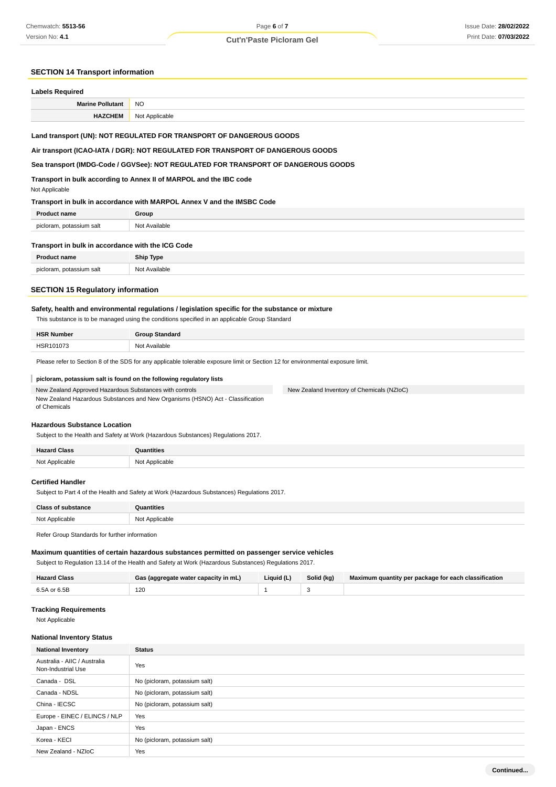# Page **6** of **7 Cut'n'Paste Picloram Gel**

### **SECTION 14 Transport information**

| <b>Labels Required</b>  |                |  |
|-------------------------|----------------|--|
| <b>Marine Pollutant</b> | <b>NO</b>      |  |
| <b>HAZCHEM</b>          | Not Applicable |  |

### **Land transport (UN): NOT REGULATED FOR TRANSPORT OF DANGEROUS GOODS**

### **Air transport (ICAO-IATA / DGR): NOT REGULATED FOR TRANSPORT OF DANGEROUS GOODS**

### **Sea transport (IMDG-Code / GGVSee): NOT REGULATED FOR TRANSPORT OF DANGEROUS GOODS**

**Transport in bulk according to Annex II of MARPOL and the IBC code**

#### Not Applicable

### **Transport in bulk in accordance with MARPOL Annex V and the IMSBC Code**

| <b>Product name</b>      | Group         |
|--------------------------|---------------|
| picloram, potassium salt | Not Available |

| Transport in bulk in accordance with the ICG Code |               |  |
|---------------------------------------------------|---------------|--|
| <b>Product name</b>                               | Ship Type     |  |
| picloram, potassium salt                          | Not Available |  |

# **SECTION 15 Regulatory information**

### **Safety, health and environmental regulations / legislation specific for the substance or mixture**

This substance is to be managed using the conditions specified in an applicable Group Standard

| <b>HSR Number</b> | <b>Group Standard</b> |
|-------------------|-----------------------|
| HSR101073<br>.    | Not Available         |

New Zealand Inventory of Chemicals (NZIoC)

Please refer to Section 8 of the SDS for any applicable tolerable exposure limit or Section 12 for environmental exposure limit.

### **picloram, potassium salt is found on the following regulatory lists**

New Zealand Approved Hazardous Substances with controls New Zealand Hazardous Substances and New Organisms (HSNO) Act - Classification of Chemicals

# **Hazardous Substance Location**

Subject to the Health and Safety at Work (Hazardous Substances) Regulations 2017.

| <b>Hazard Class</b> | antities       |
|---------------------|----------------|
| Not Applicable      | Not Applicable |

#### **Certified Handler**

Subject to Part 4 of the Health and Safety at Work (Hazardous Substances) Regulations 2017.

| $n_{\text{max}}$    | ıtıtıe                                |
|---------------------|---------------------------------------|
|                     | .                                     |
| NI∩t<br>$\sim$<br>. | <b>100</b><br>ahle:<br>י שי<br>.<br>. |

Refer Group Standards for further information

### **Maximum quantities of certain hazardous substances permitted on passenger service vehicles**

Subject to Regulation 13.14 of the Health and Safety at Work (Hazardous Substances) Regulations 2017.

| <b>Hazard Class</b> | Gas (aggregate water capacity in mL) | Liquid (L) | Solid (kg) | Maximum quantity per package for each classification |
|---------------------|--------------------------------------|------------|------------|------------------------------------------------------|
| 6.5A or 6.5B        | 120                                  |            |            |                                                      |

### **Tracking Requirements**

Not Applicable

### **National Inventory Status**

| <b>National Inventory</b>                          | <b>Status</b>                 |
|----------------------------------------------------|-------------------------------|
| Australia - AIIC / Australia<br>Non-Industrial Use | Yes                           |
| Canada - DSL                                       | No (picloram, potassium salt) |
| Canada - NDSL                                      | No (picloram, potassium salt) |
| China - IECSC                                      | No (picloram, potassium salt) |
| Europe - EINEC / ELINCS / NLP                      | Yes                           |
| Japan - ENCS                                       | Yes                           |
| Korea - KECI                                       | No (picloram, potassium salt) |
| New Zealand - NZIoC                                | Yes                           |